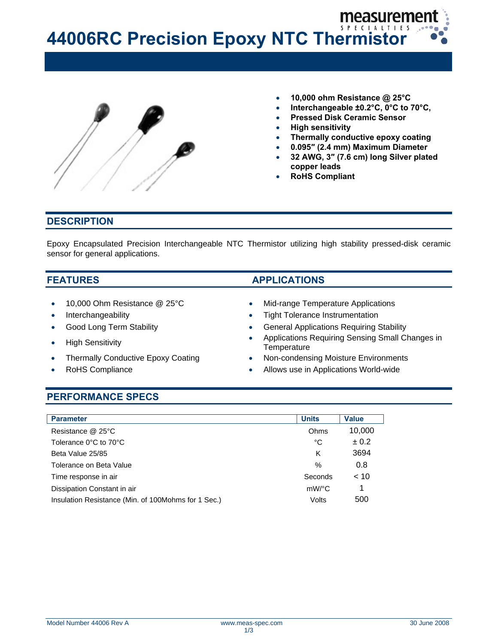**44006RC Precision Epoxy NTC Thermistor** 



- **10,000 ohm Resistance @ 25°C**
- **Interchangeable ±0.2°C, 0°C to 70°C,**

measurem

- **Pressed Disk Ceramic Sensor**
- **High sensitivity**
- **Thermally conductive epoxy coating**
- **0.095″ (2.4 mm) Maximum Diameter**
- **32 AWG, 3″ (7.6 cm) long Silver plated copper leads**
- **RoHS Compliant**

## **DESCRIPTION**

Epoxy Encapsulated Precision Interchangeable NTC Thermistor utilizing high stability pressed-disk ceramic sensor for general applications.

- 
- 
- 
- 
- Thermally Conductive Epoxy Coating Non-condensing Moisture Environments
- 

## **FEATURES** APPLICATIONS

- 10,000 Ohm Resistance @ 25°C Mid-range Temperature Applications
- Interchangeability  **Tight Tolerance Instrumentation**
- Good Long Term Stability  **General Applications Requiring Stability**
- High Sensitivity  **Applications Requiring Sensing Small Changes in**<br>
Forms return **Temperature** 
	-
	- RoHS Compliance  **Allows use in Applications World-wide**

### **PERFORMANCE SPECS**

| <b>Parameter</b>                                    | <b>Units</b> | <b>Value</b> |
|-----------------------------------------------------|--------------|--------------|
| Resistance @ 25°C                                   | Ohms         | 10,000       |
| Tolerance 0°C to 70°C                               | °C           | ± 0.2        |
| Beta Value 25/85                                    | Κ            | 3694         |
| Tolerance on Beta Value                             | %            | 0.8          |
| Time response in air                                | Seconds      | < 10         |
| Dissipation Constant in air                         | mW/°C        | 1            |
| Insulation Resistance (Min. of 100Mohms for 1 Sec.) | Volts        | 500          |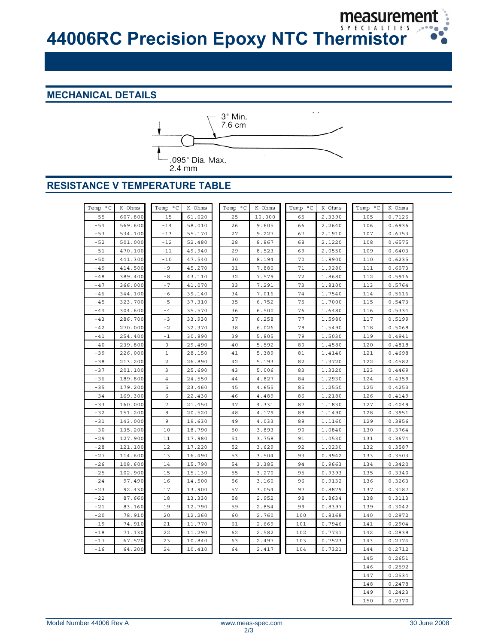# **MECHANICAL DETAILS**



# **RESISTANCE V TEMPERATURE TABLE**

| Temp °C | K-Ohms  | Temp °C        | K-Ohms | Temp °C | K-Ohms | Temp °C | K-Ohms | Temp °C | K-Ohms |
|---------|---------|----------------|--------|---------|--------|---------|--------|---------|--------|
|         |         |                |        |         |        |         |        |         |        |
| $-55$   | 607.800 | $-15$          | 61.020 | 25      | 10.000 | 65      | 2.3390 | 105     | 0.7126 |
| $-54$   | 569.600 | $-14$          | 58.010 | 26      | 9.605  | 66      | 2.2640 | 106     | 0.6936 |
| $-53$   | 534.100 | $-13$          | 55.170 | 27      | 9.227  | 67      | 2.1910 | 107     | 0.6753 |
| $-52$   | 501.000 | $-12$          | 52.480 | 28      | 8.867  | 68      | 2.1220 | 108     | 0.6575 |
| $-51$   | 470.100 | $-11$          | 49.940 | 29      | 8.523  | 69      | 2.0550 | 109     | 0.6403 |
| $-50$   | 441.300 | $-10$          | 47.540 | 30      | 8.194  | 70      | 1.9900 | 110     | 0.6235 |
| $-49$   | 414.500 | $-9$           | 45.270 | 31      | 7.880  | 71      | 1.9280 | 111     | 0.6073 |
| $-48$   | 389.400 | $-8$           | 43.110 | 32      | 7.579  | 72      | 1.8680 | 112     | 0.5916 |
| $-47$   | 366.000 | $-7$           | 41.070 | 33      | 7.291  | 73      | 1.8100 | 113     | 0.5764 |
| $-46$   | 344.100 | $-6$           | 39.140 | 34      | 7.016  | 74      | 1.7540 | 114     | 0.5616 |
| $-45$   | 323.700 | - 5            | 37.310 | 35      | 6.752  | 75      | 1.7000 | 115     | 0.5473 |
| $-44$   | 304.600 | $-4$           | 35.570 | 36      | 6.500  | 76      | 1.6480 | 116     | 0.5334 |
| $-43$   | 286.700 | $-3$           | 33.930 | 37      | 6.258  | 77      | 1.5980 | 117     | 0.5199 |
| $-42$   | 270.000 | -2             | 32.370 | 38      | 6.026  | 78      | 1.5490 | 118     | 0.5068 |
| $-41$   | 254.400 | $-1$           | 30.890 | 39      | 5.805  | 79      | 1.5030 | 119     | 0.4941 |
| $-40$   | 239.800 | $\mathbf 0$    | 29.490 | 40      | 5.592  | 80      | 1.4580 | 120     | 0.4818 |
| $-39$   | 226.000 | 1              | 28.150 | 41      | 5.389  | 81      | 1.4140 | 121     | 0.4698 |
| $-38$   | 213.200 | 2              | 26.890 | 42      | 5.193  | 82      | 1.3720 | 122     | 0.4582 |
| $-37$   | 201.100 | 3              | 25.690 | 43      | 5.006  | 83      | 1.3320 | 123     | 0.4469 |
| $-36$   | 189.800 | $\overline{4}$ | 24.550 | 44      | 4.827  | 84      | 1.2930 | 124     | 0.4359 |
| $-35$   | 179.200 | 5              | 23.460 | 45      | 4.655  | 85      | 1.2550 | 125     | 0.4253 |
| $-34$   | 169.300 | 6              | 22.430 | 46      | 4.489  | 86      | 1.2180 | 126     | 0.4149 |
| $-33$   | 160.000 | 7              | 21.450 | 47      | 4.331  | 87      | 1.1830 | 127     | 0.4049 |
| $-32$   | 151.200 | 8              | 20.520 | 48      | 4.179  | 88      | 1.1490 | 128     | 0.3951 |
| $-31$   | 143.000 | 9              | 19.630 | 49      | 4.033  | 89      | 1.1160 | 129     | 0.3856 |
| $-30$   | 135.200 | 10             | 18.790 | 50      | 3.893  | 90      | 1.0840 | 130     | 0.3764 |
| $-29$   | 127.900 | 11             | 17.980 | 51      | 3.758  | 91      | 1.0530 | 131     | 0.3674 |
| $-28$   | 121.100 | 12             | 17.220 | 52      | 3.629  | 92      | 1.0230 | 132     | 0.3587 |
| $-27$   | 114.600 | 13             | 16.490 | 53      | 3.504  | 93      | 0.9942 | 133     | 0.3503 |
| $-26$   | 108.600 | 14             | 15.790 | 54      | 3.385  | 94      | 0.9663 | 134     | 0.3420 |
| $-25$   | 102.900 | 15             | 15.130 | 55      | 3.270  | 95      | 0.9393 | 135     | 0.3340 |
| $-24$   | 97.490  | 16             | 14.500 | 56      | 3.160  | 96      | 0.9132 | 136     | 0.3263 |
| $-23$   | 92.430  | 17             | 13.900 | 57      | 3.054  | 97      | 0.8879 | 137     | 0.3187 |
| $-22$   | 87.660  | 18             | 13.330 | 58      | 2.952  | 98      | 0.8634 | 138     | 0.3113 |
| $-21$   | 83.160  | 19             | 12.790 | 59      | 2.854  | 99      | 0.8397 | 139     | 0.3042 |
| $-20$   | 78.910  | 20             | 12.260 | 60      | 2.760  | 100     | 0.8168 | 140     | 0.2972 |
| $-19$   | 74.910  | 21             | 11.770 | 61      | 2.669  | 101     | 0.7946 | 141     | 0.2904 |
| $-18$   | 71.130  | 22             | 11.290 | 62      | 2.582  | 102     | 0.7731 | 142     | 0.2838 |
| $-17$   | 67.570  | 23             | 10.840 | 63      | 2.497  | 103     | 0.7523 | 143     | 0.2774 |
| $-16$   | 64.200  | 24             | 10.410 | 64      | 2.417  | 104     | 0.7321 | 144     | 0.2712 |
|         |         |                |        |         |        |         |        | 145     | 0.2651 |
|         |         |                |        |         |        |         |        | 146     | 0.2592 |
|         |         |                |        |         |        |         |        | 147     | 0.2534 |
|         |         |                |        |         |        |         |        | 148     | 0.2478 |

Model Number 44006 Rev A www.meas-spec.com 30 June 2008

149 0.2423 150 0.2370

measuremen